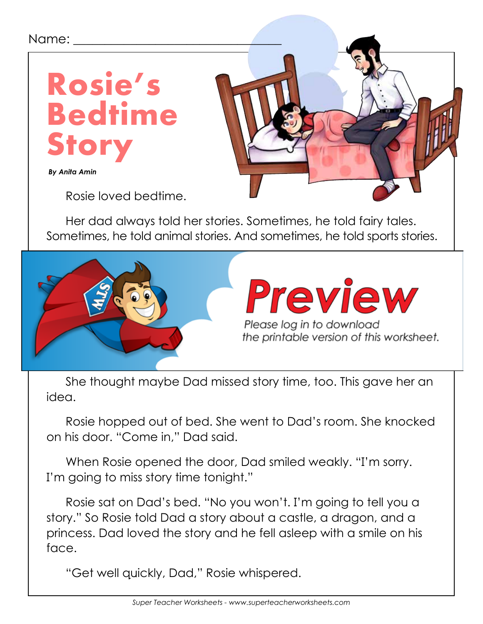## Name:



 *By Anita Amin*

Rosie loved bedtime.

Her dad always told her stories. Sometimes, he told fairy tales. Sometimes, he told animal stories. And sometimes, he told sports stories.



She thought maybe Dad missed story time, too. This gave her an idea.

Rosie hopped out of bed. She went to Dad's room. She knocked on his door. "Come in," Dad said.

When Rosie opened the door, Dad smiled weakly. "I'm sorry. I'm going to miss story time tonight."

Rosie sat on Dad's bed. "No you won't. I'm going to tell you a story." So Rosie told Dad a story about a castle, a dragon, and a princess. Dad loved the story and he fell asleep with a smile on his face.

"Get well quickly, Dad," Rosie whispered.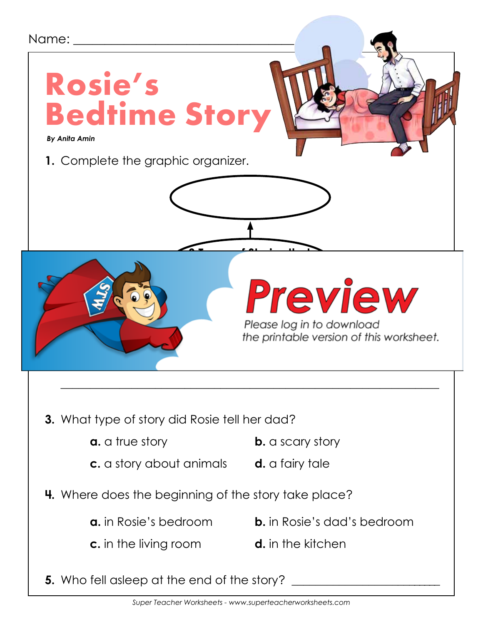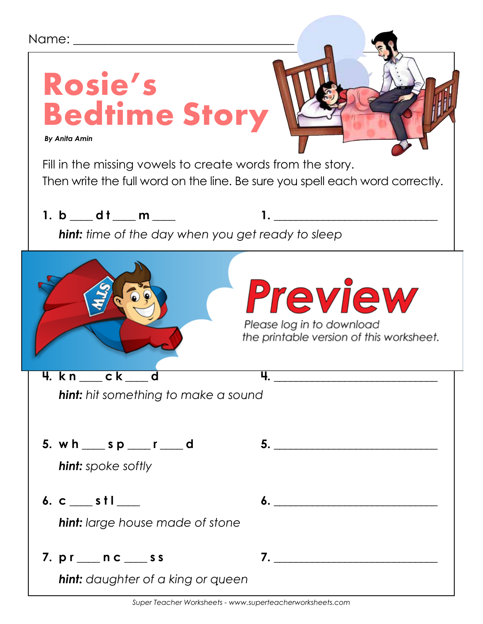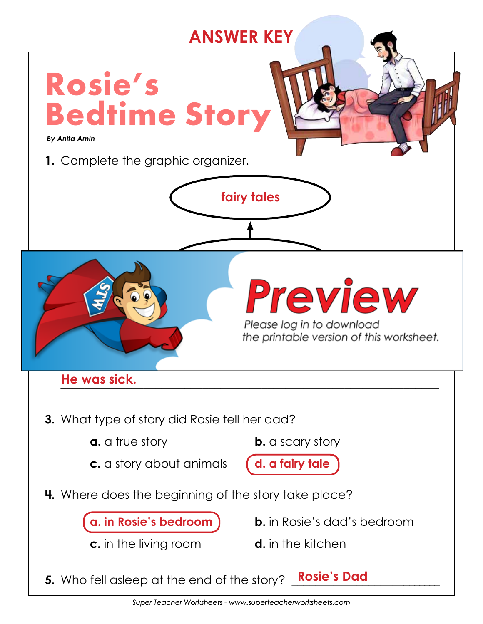